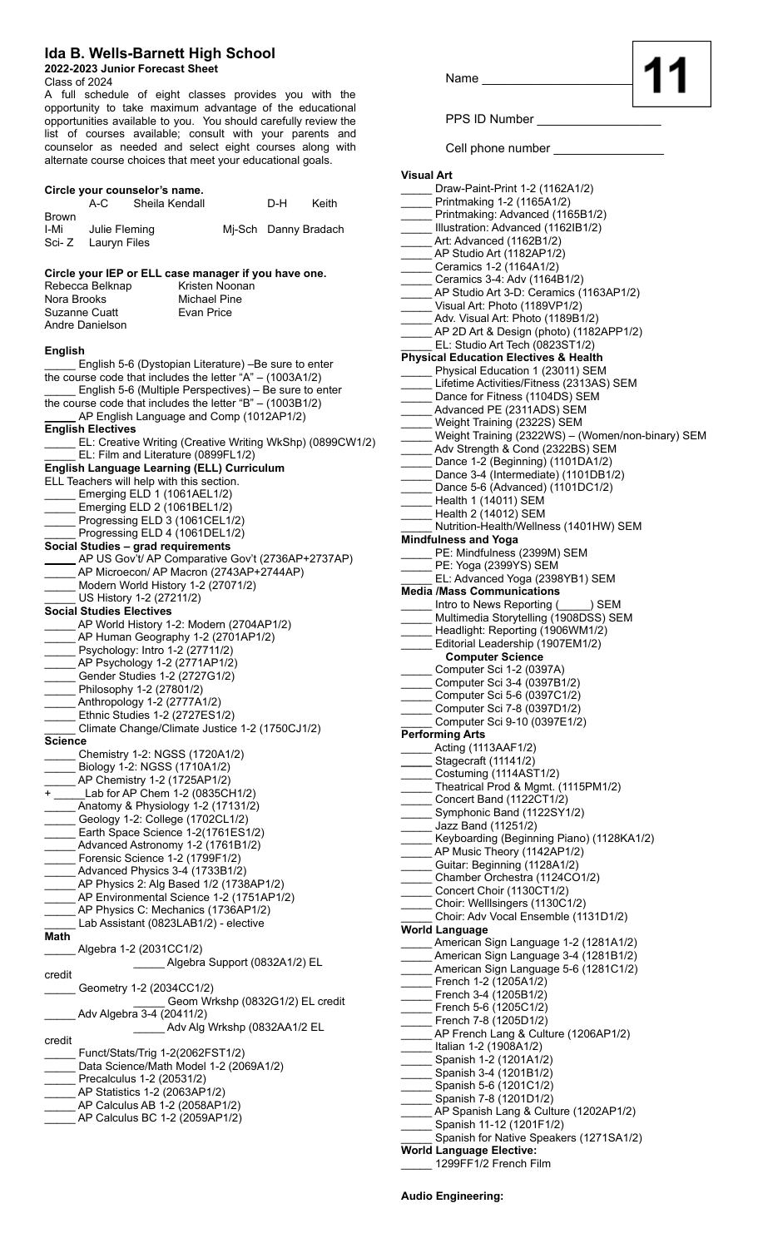## **Ida B. Wells-Barnett High School**

## **2022-2023 Junior Forecast Sheet**

**Circle your counselor's name.**

Class of 2024

A full schedule of eight classes provides you with the opportunity to take maximum advantage of the educational opportunities available to you. You should carefully review the list of courses available; consult with your parents and counselor as needed and select eight courses along with alternate course choices that meet your educational goals.

Sheila Kendall **D-H** Keith

| <b>Brown</b>         | I-Mi Julie Fleming<br>Sci- Z Lauryn Files                                                                                                                                                                                                                                                                                                                                                                                                                                                                                           |                                                                   | Mj-Sch Danny Bradach                                      |
|----------------------|-------------------------------------------------------------------------------------------------------------------------------------------------------------------------------------------------------------------------------------------------------------------------------------------------------------------------------------------------------------------------------------------------------------------------------------------------------------------------------------------------------------------------------------|-------------------------------------------------------------------|-----------------------------------------------------------|
| Nora Brooks          | Circle your IEP or ELL case manager if you have one.<br>Rebecca Belknap<br>Suzanne Cuatt<br>Andre Danielson                                                                                                                                                                                                                                                                                                                                                                                                                         | Kristen Noonan<br><b>Michael Pine</b><br>Evan Price               |                                                           |
| <b>English</b>       | English 5-6 (Dystopian Literature) -Be sure to enter<br>the course code that includes the letter "A" - (1003A1/2)<br>English 5-6 (Multiple Perspectives) - Be sure to enter<br>the course code that includes the letter " $B$ " - (1003B1/2)<br>AP English Language and Comp (1012AP1/2)<br><b>English Electives</b><br>EL: Film and Literature (0899FL1/2)<br>English Language Learning (ELL) Curriculum<br>ELL Teachers will help with this section.<br>Emerging ELD 1 (1061AEL1/2)                                               |                                                                   | EL: Creative Writing (Creative Writing WkShp) (0899CW1/2) |
|                      | Emerging ELD 2 (1061BEL1/2)<br>Progressing ELD 3 (1061CEL1/2)<br>Progressing ELD 4 (1061DEL1/2)<br>Social Studies - grad requirements<br>AP US Gov't/ AP Comparative Gov't (2736AP+2737AP)<br>AP Microecon/ AP Macron (2743AP+2744AP)<br>Modern World History 1-2 (27071/2)<br>US History 1-2 (27211/2)                                                                                                                                                                                                                             |                                                                   |                                                           |
|                      | <b>Social Studies Electives</b><br>AP World History 1-2: Modern (2704AP1/2)<br>AP Human Geography 1-2 (2701AP1/2)<br>Psychology: Intro 1-2 (27711/2)<br>AP Psychology 1-2 (2771AP1/2)<br>Gender Studies 1-2 (2727G1/2)<br>Philosophy 1-2 (27801/2)<br>Anthropology 1-2 (2777A1/2)<br>Ethnic Studies 1-2 (2727ES1/2)<br>Climate Change/Climate Justice 1-2 (1750CJ1/2)                                                                                                                                                               |                                                                   |                                                           |
| Science<br>+<br>Math | Chemistry 1-2: NGSS (1720A1/2)<br>Biology 1-2: NGSS (1710A1/2)<br>AP Chemistry 1-2 (1725AP1/2)<br>Lab for AP Chem 1-2 (0835CH1/2)<br>Anatomy & Physiology 1-2 (17131/2)<br>Geology 1-2: College (1702CL1/2)<br>Earth Space Science 1-2(1761ES1/2)<br>Advanced Astronomy 1-2 (1761B1/2)<br>Forensic Science 1-2 (1799F1/2)<br>Advanced Physics 3-4 (1733B1/2)<br>AP Physics 2: Alg Based 1/2 (1738AP1/2)<br>AP Environmental Science 1-2 (1751AP1/2)<br>AP Physics C: Mechanics (1736AP1/2)<br>Lab Assistant (0823LAB1/2) - elective |                                                                   |                                                           |
| credit               | Algebra 1-2 (2031CC1/2)<br>Geometry 1-2 (2034CC1/2)<br>Adv Algebra 3-4 (20411/2)                                                                                                                                                                                                                                                                                                                                                                                                                                                    | Algebra Support (0832A1/2) EL<br>Geom Wrkshp (0832G1/2) EL credit |                                                           |
| credit               | Funct/Stats/Trig 1-2(2062FST1/2)<br>Data Science/Math Model 1-2 (2069A1/2)<br>Precalculus 1-2 (20531/2)<br>AP Statistics 1-2 (2063AP1/2)<br>AP Calculus AB 1-2 (2058AP1/2)<br>AP Calculus BC 1-2 (2059AP1/2)                                                                                                                                                                                                                                                                                                                        | Adv Alg Wrkshp (0832AA1/2 EL                                      |                                                           |

Name

PPS ID Number \_\_\_

Cell phone number \_\_\_\_\_\_\_\_\_\_\_\_\_\_\_\_

| <b>Visual Art</b> |                                                                                        |
|-------------------|----------------------------------------------------------------------------------------|
|                   | Draw-Paint-Print 1-2 (1162A1/2)                                                        |
|                   | Printmaking 1-2 (1165A1/2)                                                             |
|                   | Printmaking: Advanced (1165B1/2)                                                       |
|                   | Illustration: Advanced (1162IB1/2)                                                     |
|                   | Art: Advanced (1162B1/2)                                                               |
|                   | ____ AP Studio Art (1182AP1/2)                                                         |
|                   | Ceramics 1-2 (1164A1/2)                                                                |
|                   | Ceramics 3-4: Adv (1164B1/2)                                                           |
|                   | AP Studio Art 3-D: Ceramics (1163AP1/2)                                                |
|                   | $\_$ Visual Art: Photo (1189VP1/2)                                                     |
|                   | _Adv. Visual Art: Photo (1189B1/2)                                                     |
|                   | _AP 2D Art & Design (photo) (1182APP1/2)                                               |
|                   | EL: Studio Art Tech (0823ST1/2)<br><b>Physical Education Electives &amp; Health</b>    |
|                   | Physical Education 1 (23011) SEM                                                       |
|                   | Lifetime Activities/Fitness (2313AS) SEM                                               |
|                   | Dance for Fitness (1104DS) SEM                                                         |
|                   | Advanced PE (2311ADS) SEM                                                              |
|                   |                                                                                        |
|                   | __ Weight Training (2322S) SEM<br>__ Weight Training (2322WS) – (Women/non-binary) SEM |
|                   | Adv Strength & Cond (2322BS) SEM                                                       |
|                   | Dance 1-2 (Beginning) (1101DA1/2)                                                      |
|                   | Dance 3-4 (Intermediate) (1101DB1/2)<br>Dance 5-6 (Advanced) (1101DC1/2)               |
|                   |                                                                                        |
|                   | Health 1 (14011) SEM                                                                   |
|                   | L Health 2 (14012) SEM                                                                 |
|                   | Nutrition-Health/Wellness (1401HW) SEM                                                 |
|                   | <b>Mindfulness and Yoga</b><br>_____ PE: Mindfulness (2399M) SEM                       |
|                   | _ PE: Yoga (2399YS) SEM                                                                |
|                   | EL: Advanced Yoga (2398YB1) SEM                                                        |
|                   | <b>Media /Mass Communications</b>                                                      |
|                   | Intro to News Reporting (SEM                                                           |
|                   | _Multimedia Storytelling (1908DSS) SEM                                                 |
|                   | __ Headlight: Reporting (1906WM1/2)<br>__ Editorial Leadership (1907EM1/2)             |
|                   |                                                                                        |
|                   | <b>Computer Science</b>                                                                |
|                   | Computer Sci 1-2 (0397A)                                                               |
|                   | $\frac{1}{2}$ Computer Sci 3-4 (0397B1/2)                                              |
|                   | Computer Sci 5-6 (0397C1/2)<br>Computer Sci 7-8 (0397D1/2)                             |
|                   | Computer Sci 9-10 (0397E1/2)                                                           |
|                   | <b>Performing Arts</b>                                                                 |
|                   | _____ Acting (1113AAF1/2)                                                              |
|                   | ____ Stagecraft (11141/2)                                                              |
|                   | Costuming (1114AST1/2)                                                                 |
|                   | Theatrical Prod & Mgmt. (1115PM1/2)                                                    |
|                   | Concert Band (1122CT1/2)                                                               |
|                   | Symphonic Band (1122SY1/2)                                                             |
|                   | <b>Jazz Band (11251/2)</b>                                                             |
|                   | Keyboarding (Beginning Piano) (1128KA1/2)                                              |
|                   | _AP Music Theory (1142AP1/2)                                                           |
|                   | Guitar: Beginning (1128A1/2)                                                           |
|                   | Chamber Orchestra (1124CO1/2)<br>$\frac{1}{2}$ Concert Choir (1130CT1/2)               |
|                   | Choir: Welllsingers (1130C1/2)                                                         |
|                   | Choir: Adv Vocal Ensemble (1131D1/2)                                                   |
|                   | <b>World Language</b>                                                                  |
|                   | _____ American Sign Language 1-2 (1281A1/2)                                            |
|                   | American Sign Language 3-4 (1281B1/2)                                                  |
|                   | American Sign Language 5-6 (1281C1/2)                                                  |
|                   | French 1-2 (1205A1/2)                                                                  |
|                   | French 3-4 (1205B1/2)                                                                  |
|                   | French 5-6 (1205C1/2)                                                                  |
|                   | French 7-8 (1205D1/2)                                                                  |
|                   | _AP French Lang & Culture (1206AP1/2)                                                  |
|                   | __ Italian 1-2 (1908A1/2)<br>__ Spanish 1-2 (1201A1/2)                                 |
|                   | ____ Spanish 3-4 (1201B1/2)                                                            |
|                   | Spanish 5-6 (1201C1/2)                                                                 |
|                   | $-$ Spanish 7-8 (1201D1/2)                                                             |
|                   | _AP Spanish Lang & Culture (1202AP1/2)                                                 |
|                   | Spanish 11-12 (1201F1/2)                                                               |
|                   | Spanish for Native Speakers (1271SA1/2)                                                |
|                   | <b>World Language Elective:</b>                                                        |
|                   | 1299FF1/2 French Film                                                                  |
|                   |                                                                                        |

**Audio Engineering:**